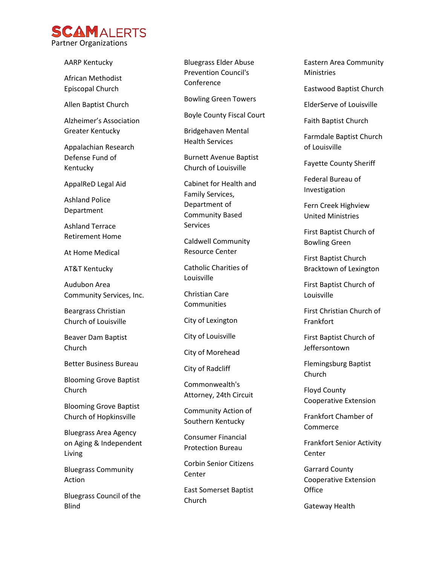

AARP Kentucky African Methodist Episcopal Church Allen Baptist Church Alzheimer's Association Greater Kentucky Appalachian Research Defense Fund of Kentucky AppalReD Legal Aid Ashland Police Department Ashland Terrace Retirement Home At Home Medical AT&T Kentucky Audubon Area Community Services, Inc. Beargrass Christian Church of Louisville Beaver Dam Baptist Church Better Business Bureau Blooming Grove Baptist Church Blooming Grove Baptist Church of Hopkinsville Bluegrass Area Agency on Aging & Independent Living Bluegrass Community Action

Bluegrass Council of the Blind

Bluegrass Elder Abuse Prevention Council's **Conference** 

Bowling Green Towers

Boyle County Fiscal Court

Bridgehaven Mental Health Services

Burnett Avenue Baptist Church of Louisville

Cabinet for Health and Family Services, Department of Community Based **Services** 

Caldwell Community Resource Center

Catholic Charities of Louisville

Christian Care **Communities** 

City of Lexington

City of Louisville

City of Morehead

City of Radcliff

Commonwealth's Attorney, 24th Circuit

Community Action of Southern Kentucky

Consumer Financial Protection Bureau

Corbin Senior Citizens Center

East Somerset Baptist Church

Eastern Area Community Ministries

Eastwood Baptist Church

ElderServe of Louisville

Faith Baptist Church

Farmdale Baptist Church of Louisville

Fayette County Sheriff

Federal Bureau of Investigation

Fern Creek Highview United Ministries

First Baptist Church of Bowling Green

First Baptist Church Bracktown of Lexington

First Baptist Church of Louisville

First Christian Church of Frankfort

First Baptist Church of Jeffersontown

Flemingsburg Baptist Church

Floyd County Cooperative Extension

Frankfort Chamber of Commerce

Frankfort Senior Activity Center

Garrard County Cooperative Extension **Office** 

Gateway Health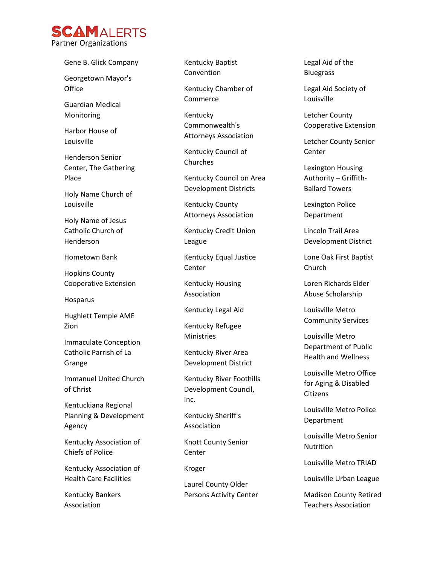

Gene B. Glick Com pany

Georgetown Mayor's **Office** 

Guardian Medical Monitoring

Harbor House of Louisville

Henderson Senior Center, The Gathering Place

Holy Name Church of Louisville

Holy Name of Jesus Catholic Church of Henderson

Hometown Bank

Hopkins County Cooperative Extension

Hosparus

Hughlett Temple AME Zion

Immaculate Conception Catholic Parrish of La Grange

Immanuel United Church of Christ

Kentuckiana Regional Planning & Development Agency

Kentucky Association of Chiefs of Police

Kentucky Association of Health Care Facilities

Kentucky Bankers Association

Kentucky Baptist Convention

Kentucky Chamber of Commerce

Kentucky Commonwealth's Attorneys Association

Kentucky Council of Churches

Kentucky Council on Area Development Districts

Kentucky County Attorneys Association

Kentucky Credit Union League

Kentucky Equal Justice **Center** 

Kentucky Housing Association

Kentucky Legal Aid

Kentucky Refugee Ministries

Kentucky River Area Development District

Kentucky River Foothills Development Council, Inc.

Kentucky Sheriff's Association

Knott County Senior **Center** 

Kroger

Laurel County Older Persons Activity Center Legal Aid of the Bluegrass

Legal Aid Society of Louisville

Letcher County Cooperative Extension

Letcher County Senior Center

Lexington Housing Authority – Griffith - Ballard Towers

Lexington Police Department

Lincoln Trail Area Development District

Lone Oak First Baptist Church

Loren Richards Elder Abuse Scholarship

Louisville Metro Community Services

Louisville Metro Department of Public Health and Wellness

Louisville Metro Office for Aging & Disabled Citizens

Louisville Metro Police Department

Louisville Metro Senior **Nutrition** 

Louisville Metro TRIAD

Louisville Urban League

Madison County Retired Teachers Association